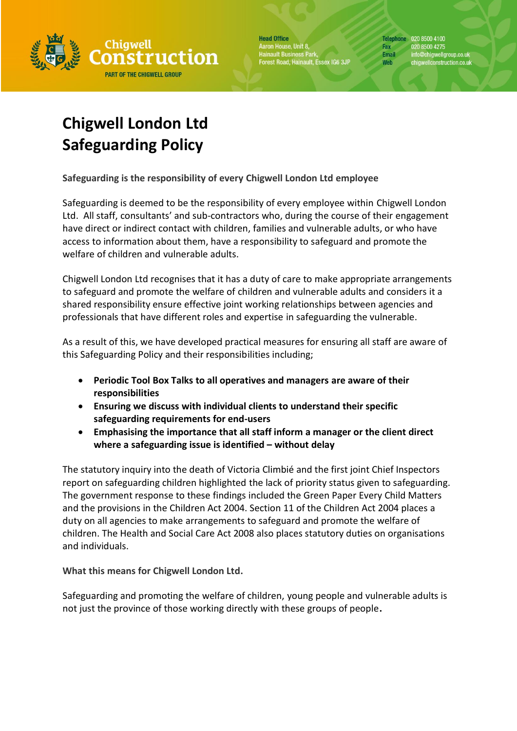

**Head Office** Aaron House, Unit 8, aren nease, enre,<br>ainault Business Park,<br>prest Road, Hainault, Essex IG6 3JP

Telephone 020 8500 4100 020 8500 4275 Fax Email info@chigwellgroup.co.uk<br>chigwellconstruction.co.uk Web

## **Chigwell London Ltd Safeguarding Policy**

**Safeguarding is the responsibility of every Chigwell London Ltd employee**

Safeguarding is deemed to be the responsibility of every employee within Chigwell London Ltd. All staff, consultants' and sub-contractors who, during the course of their engagement have direct or indirect contact with children, families and vulnerable adults, or who have access to information about them, have a responsibility to safeguard and promote the welfare of children and vulnerable adults.

Chigwell London Ltd recognises that it has a duty of care to make appropriate arrangements to safeguard and promote the welfare of children and vulnerable adults and considers it a shared responsibility ensure effective joint working relationships between agencies and professionals that have different roles and expertise in safeguarding the vulnerable.

As a result of this, we have developed practical measures for ensuring all staff are aware of this Safeguarding Policy and their responsibilities including;

- **Periodic Tool Box Talks to all operatives and managers are aware of their responsibilities**
- **Ensuring we discuss with individual clients to understand their specific safeguarding requirements for end-users**
- **Emphasising the importance that all staff inform a manager or the client direct where a safeguarding issue is identified – without delay**

The statutory inquiry into the death of Victoria Climbié and the first joint Chief Inspectors report on safeguarding children highlighted the lack of priority status given to safeguarding. The government response to these findings included the Green Paper Every Child Matters and the provisions in the Children Act 2004. Section 11 of the Children Act 2004 places a duty on all agencies to make arrangements to safeguard and promote the welfare of children. The Health and Social Care Act 2008 also places statutory duties on organisations and individuals.

**What this means for Chigwell London Ltd.**

Safeguarding and promoting the welfare of children, young people and vulnerable adults is not just the province of those working directly with these groups of people**.**